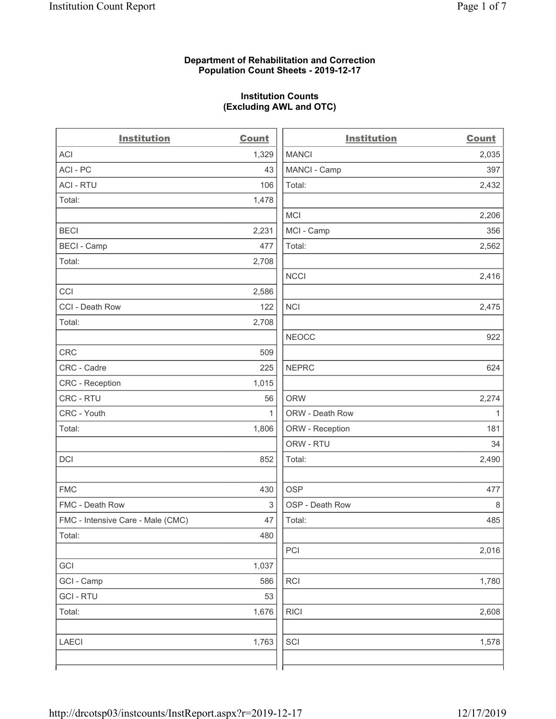# **Department of Rehabilitation and Correction Population Count Sheets - 2019-12-17**

# **Institution Counts (Excluding AWL and OTC)**

| <b>Institution</b>                | <b>Count</b> | <b>Institution</b> | <b>Count</b> |
|-----------------------------------|--------------|--------------------|--------------|
| ACI                               | 1,329        | <b>MANCI</b>       | 2,035        |
| ACI - PC                          | 43           | MANCI - Camp       | 397          |
| <b>ACI - RTU</b>                  | 106          | Total:             | 2,432        |
| Total:                            | 1,478        |                    |              |
|                                   |              | <b>MCI</b>         | 2,206        |
| <b>BECI</b>                       | 2,231        | MCI - Camp         | 356          |
| <b>BECI - Camp</b>                | 477          | Total:             | 2,562        |
| Total:                            | 2,708        |                    |              |
|                                   |              | <b>NCCI</b>        | 2,416        |
| CCI                               | 2,586        |                    |              |
| CCI - Death Row                   | 122          | <b>NCI</b>         | 2,475        |
| Total:                            | 2,708        |                    |              |
|                                   |              | <b>NEOCC</b>       | 922          |
| CRC                               | 509          |                    |              |
| CRC - Cadre                       | 225          | <b>NEPRC</b>       | 624          |
| CRC - Reception                   | 1,015        |                    |              |
| CRC - RTU                         | 56           | <b>ORW</b>         | 2,274        |
| CRC - Youth                       | 1            | ORW - Death Row    | 1            |
| Total:                            | 1,806        | ORW - Reception    | 181          |
|                                   |              | ORW - RTU          | 34           |
| DCI                               | 852          | Total:             | 2,490        |
| <b>FMC</b>                        | 430          | <b>OSP</b>         | 477          |
| FMC - Death Row                   | 3            | OSP - Death Row    | 8            |
| FMC - Intensive Care - Male (CMC) | 47           | Total:             | 485          |
| Total:                            | 480          |                    |              |
|                                   |              | PCI                | 2,016        |
| GCI                               | 1,037        |                    |              |
| GCI - Camp                        | 586          | <b>RCI</b>         | 1,780        |
| <b>GCI-RTU</b>                    | 53           |                    |              |
| Total:                            | 1,676        | <b>RICI</b>        | 2,608        |
| LAECI                             | 1,763        | SCI                | 1,578        |
|                                   |              |                    |              |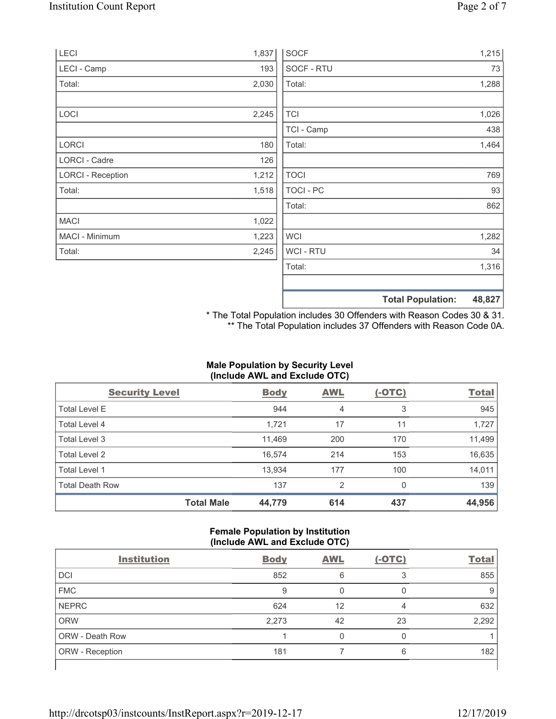| LECI                     | 1,837 | <b>SOCF</b>      | 1,215                              |
|--------------------------|-------|------------------|------------------------------------|
| LECI - Camp              | 193   | SOCF - RTU       | 73                                 |
| Total:                   | 2,030 | Total:           | 1,288                              |
|                          |       |                  |                                    |
| LOCI                     | 2,245 | <b>TCI</b>       | 1,026                              |
|                          |       | TCI - Camp       | 438                                |
| LORCI                    | 180   | Total:           | 1,464                              |
| <b>LORCI - Cadre</b>     | 126   |                  |                                    |
| <b>LORCI - Reception</b> | 1,212 | <b>TOCI</b>      | 769                                |
| Total:                   | 1,518 | <b>TOCI - PC</b> | 93                                 |
|                          |       | Total:           | 862                                |
| <b>MACI</b>              | 1,022 |                  |                                    |
| MACI - Minimum           | 1,223 | <b>WCI</b>       | 1,282                              |
| Total:                   | 2,245 | <b>WCI-RTU</b>   | 34                                 |
|                          |       | Total:           | 1,316                              |
|                          |       |                  | 48,827<br><b>Total Population:</b> |

\* The Total Population includes 30 Offenders with Reason Codes 30 & 31. \*\* The Total Population includes 37 Offenders with Reason Code 0A.

# **Male Population by Security Level (Include AWL and Exclude OTC)**

| <b>Security Level</b>  |                   | <b>Body</b> | <b>AWL</b>     | $(-OTC)$ | <b>Total</b> |
|------------------------|-------------------|-------------|----------------|----------|--------------|
| <b>Total Level E</b>   |                   | 944         | 4              | 3        | 945          |
| Total Level 4          |                   | 1,721       | 17             | 11       | 1,727        |
| Total Level 3          |                   | 11,469      | 200            | 170      | 11,499       |
| Total Level 2          |                   | 16.574      | 214            | 153      | 16,635       |
| Total Level 1          |                   | 13,934      | 177            | 100      | 14,011       |
| <b>Total Death Row</b> |                   | 137         | $\overline{2}$ | $\Omega$ | 139          |
|                        | <b>Total Male</b> | 44,779      | 614            | 437      | 44,956       |

# **Female Population by Institution (Include AWL and Exclude OTC)**

| <b>Institution</b> | <b>Body</b> | <b>AWL</b> | $(-OTC)$ | <b>Total</b> |
|--------------------|-------------|------------|----------|--------------|
| <b>DCI</b>         | 852         | 6          | 3        | 855          |
| <b>FMC</b>         | 9           |            | O        | 9            |
| <b>NEPRC</b>       | 624         | 12         |          | 632          |
| <b>ORW</b>         | 2,273       | 42         | 23       | 2,292        |
| ORW - Death Row    |             |            | 0        |              |
| ORW - Reception    | 181         |            | 6        | 182          |
|                    |             |            |          |              |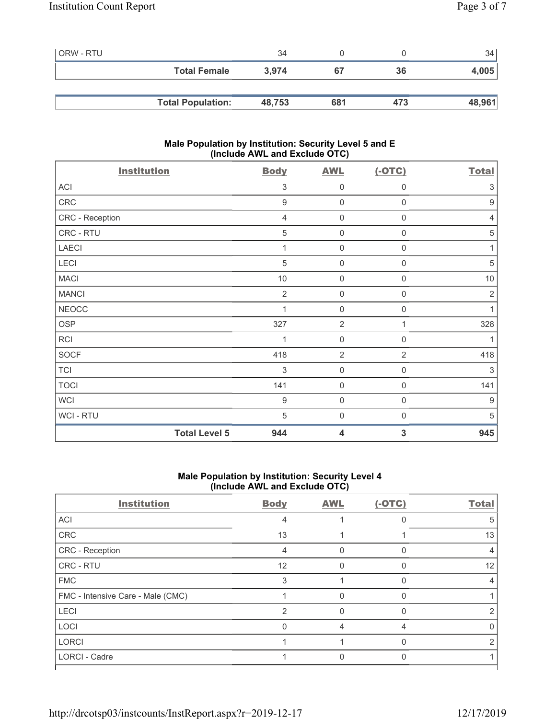| l ORW - RTU |                          | 34     |     |     | 34     |
|-------------|--------------------------|--------|-----|-----|--------|
|             | <b>Total Female</b>      | 3.974  | 67  | 36  | 4,005  |
|             |                          |        |     |     |        |
|             | <b>Total Population:</b> | 48,753 | 681 | 473 | 48,961 |

# **Male Population by Institution: Security Level 5 and E (Include AWL and Exclude OTC)**

| <b>Institution</b>   | <b>Body</b>      | <b>AWL</b>              | $(-OTC)$            | <b>Total</b>     |
|----------------------|------------------|-------------------------|---------------------|------------------|
| ACI                  | 3                | $\mathbf 0$             | $\mathbf 0$         | 3                |
| CRC                  | $\boldsymbol{9}$ | $\mathsf{O}\xspace$     | $\mathbf 0$         | $\boldsymbol{9}$ |
| CRC - Reception      | $\overline{4}$   | $\mathsf{O}\xspace$     | 0                   | 4                |
| CRC - RTU            | 5                | $\mathsf{O}\xspace$     | 0                   | 5                |
| <b>LAECI</b>         | 1                | $\mathsf{O}\xspace$     | $\mathbf 0$         | $\mathbf{1}$     |
| LECI                 | 5                | $\mathbf 0$             | 0                   | 5                |
| <b>MACI</b>          | $10$             | $\mathsf{O}\xspace$     | 0                   | 10               |
| <b>MANCI</b>         | $\overline{2}$   | $\mathbf 0$             | 0                   | $\sqrt{2}$       |
| <b>NEOCC</b>         | 1                | $\mathbf 0$             | 0                   | 1                |
| OSP                  | 327              | $\overline{2}$          | 1                   | 328              |
| RCI                  | 1                | $\mathsf{O}\xspace$     | 0                   | 1                |
| <b>SOCF</b>          | 418              | $\overline{2}$          | $\overline{2}$      | 418              |
| <b>TCI</b>           | $\sqrt{3}$       | $\mathbf 0$             | $\boldsymbol{0}$    | $\sqrt{3}$       |
| <b>TOCI</b>          | 141              | $\mathsf{O}\xspace$     | $\boldsymbol{0}$    | 141              |
| <b>WCI</b>           | $\boldsymbol{9}$ | $\mathsf{O}\xspace$     | $\mathsf{O}\xspace$ | $9\,$            |
| WCI - RTU            | 5                | $\mathsf{O}\xspace$     | $\mathbf 0$         | 5                |
| <b>Total Level 5</b> | 944              | $\overline{\mathbf{4}}$ | 3                   | 945              |

# **Male Population by Institution: Security Level 4 (Include AWL and Exclude OTC)**

| <b>Institution</b>                | <b>Body</b>    | <b>AWL</b> | $(-OTC)$ | <b>Total</b> |
|-----------------------------------|----------------|------------|----------|--------------|
| ACI                               | 4              |            |          | 5            |
| CRC                               | 13             |            |          | 13           |
| CRC - Reception                   | 4              | $\Omega$   | $\Omega$ | 4            |
| CRC - RTU                         | 12             | U          | U        | 12           |
| <b>FMC</b>                        | 3              |            | $\Omega$ |              |
| FMC - Intensive Care - Male (CMC) |                |            |          |              |
| <b>LECI</b>                       | $\mathfrak{p}$ | O          | O        |              |
| LOCI                              | $\Omega$       | 4          | 4        |              |
| <b>LORCI</b>                      |                |            | O        |              |
| LORCI - Cadre                     |                |            |          |              |
|                                   |                |            |          |              |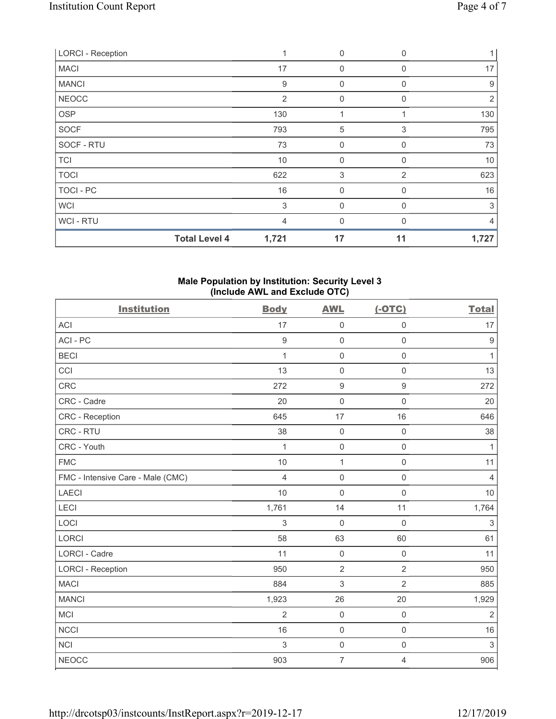| <b>LORCI - Reception</b> | 1                             | $\boldsymbol{0}$ | $\Omega$     |       |
|--------------------------|-------------------------------|------------------|--------------|-------|
| <b>MACI</b>              | 17                            | $\mathbf 0$      | 0            | 17    |
| <b>MANCI</b>             | $9\,$                         | 0                | 0            | 9     |
| <b>NEOCC</b>             | $\overline{2}$                | $\mathbf{0}$     | $\Omega$     | 2     |
| <b>OSP</b>               | 130                           | 1                |              | 130   |
| SOCF                     | 793                           | 5                | 3            | 795   |
| SOCF - RTU               | 73                            | 0                | 0            | 73    |
| <b>TCI</b>               | 10                            | $\mathbf{0}$     | 0            | 10    |
| <b>TOCI</b>              | 622                           | 3                | 2            | 623   |
| TOCI - PC                | 16                            | $\mathbf{0}$     | $\Omega$     | 16    |
| <b>WCI</b>               | 3                             | $\mathbf{0}$     | <sup>0</sup> | 3     |
| WCI - RTU                | 4                             | $\Omega$         | $\Omega$     | 4     |
|                          | <b>Total Level 4</b><br>1,721 | 17               | 11           | 1,727 |

### **Male Population by Institution: Security Level 3 (Include AWL and Exclude OTC)**

| <b>Institution</b>                | <b>Body</b>    | <b>AWL</b>          | $(-OTC)$            | <b>Total</b>   |
|-----------------------------------|----------------|---------------------|---------------------|----------------|
| <b>ACI</b>                        | 17             | $\mathsf{O}\xspace$ | $\mathsf{O}\xspace$ | 17             |
| ACI-PC                            | $9\,$          | $\mathsf{O}\xspace$ | $\mathbf 0$         | $9$            |
| <b>BECI</b>                       | 1              | $\mathsf{O}\xspace$ | $\mathsf{O}\xspace$ | 1              |
| CCI                               | 13             | $\mathsf{O}\xspace$ | $\mathsf 0$         | 13             |
| <b>CRC</b>                        | 272            | $\boldsymbol{9}$    | $\boldsymbol{9}$    | 272            |
| CRC - Cadre                       | 20             | $\mathsf 0$         | $\mathbf 0$         | 20             |
| <b>CRC</b> - Reception            | 645            | 17                  | 16                  | 646            |
| CRC - RTU                         | 38             | $\mathsf 0$         | $\mathsf{O}\xspace$ | 38             |
| CRC - Youth                       | $\mathbf{1}$   | $\mathsf 0$         | $\mathsf{O}\xspace$ | $\mathbf{1}$   |
| <b>FMC</b>                        | 10             | $\mathbf 1$         | $\mathsf{O}\xspace$ | 11             |
| FMC - Intensive Care - Male (CMC) | $\overline{4}$ | $\mathsf{O}\xspace$ | $\mathsf{O}\xspace$ | $\overline{4}$ |
| <b>LAECI</b>                      | 10             | $\mathbf 0$         | $\mathbf 0$         | 10             |
| <b>LECI</b>                       | 1,761          | 14                  | 11                  | 1,764          |
| LOCI                              | 3              | $\mathbf 0$         | $\mathbf 0$         | $\sqrt{3}$     |
| LORCI                             | 58             | 63                  | 60                  | 61             |
| LORCI - Cadre                     | 11             | $\mathsf{O}\xspace$ | $\mathsf{O}\xspace$ | 11             |
| <b>LORCI - Reception</b>          | 950            | $\overline{2}$      | $\overline{2}$      | 950            |
| <b>MACI</b>                       | 884            | 3                   | $\overline{2}$      | 885            |
| <b>MANCI</b>                      | 1,923          | 26                  | 20                  | 1,929          |
| MCI                               | $\overline{2}$ | $\mathsf 0$         | $\mathsf{O}\xspace$ | $\overline{2}$ |
| <b>NCCI</b>                       | 16             | $\mathsf{O}\xspace$ | $\mathsf 0$         | 16             |
| <b>NCI</b>                        | 3              | $\mathsf{O}\xspace$ | $\mathsf{O}\xspace$ | 3              |
| <b>NEOCC</b>                      | 903            | $\overline{7}$      | 4                   | 906            |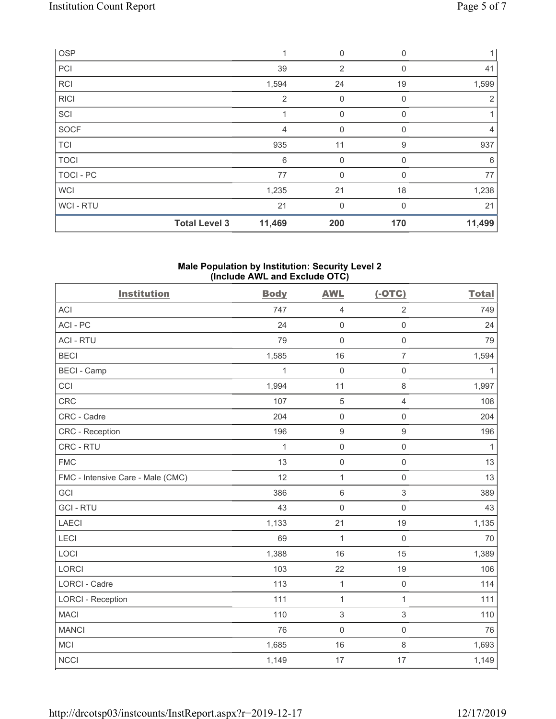| OSP         |                      | 1              | 0              | 0           |                |
|-------------|----------------------|----------------|----------------|-------------|----------------|
| PCI         |                      | 39             | $\overline{2}$ | $\mathbf 0$ | 41             |
| <b>RCI</b>  |                      | 1,594          | 24             | 19          | 1,599          |
| <b>RICI</b> |                      | $\overline{2}$ | 0              | 0           | $\overline{2}$ |
| SCI         |                      | 4              | 0              | $\Omega$    |                |
| <b>SOCF</b> |                      | 4              | $\mathbf 0$    | 0           | $\overline{4}$ |
| <b>TCI</b>  |                      | 935            | 11             | 9           | 937            |
| <b>TOCI</b> |                      | 6              | $\mathbf 0$    | 0           | 6              |
| TOCI - PC   |                      | 77             | $\mathbf 0$    | $\Omega$    | 77             |
| <b>WCI</b>  |                      | 1,235          | 21             | 18          | 1,238          |
| WCI - RTU   |                      | 21             | $\mathbf{0}$   | $\Omega$    | 21             |
|             | <b>Total Level 3</b> | 11,469         | 200            | 170         | 11,499         |

#### **Male Population by Institution: Security Level 2 (Include AWL and Exclude OTC)**

| <b>Institution</b>                | <b>Body</b>  | <b>AWL</b>       | $(-OTC)$            | <b>Total</b> |
|-----------------------------------|--------------|------------------|---------------------|--------------|
| <b>ACI</b>                        | 747          | $\overline{4}$   | $\overline{2}$      | 749          |
| ACI-PC                            | 24           | $\mathsf 0$      | $\mathsf{O}\xspace$ | 24           |
| <b>ACI - RTU</b>                  | 79           | $\mathbf 0$      | $\mathbf 0$         | 79           |
| <b>BECI</b>                       | 1,585        | 16               | $\overline{7}$      | 1,594        |
| <b>BECI - Camp</b>                | 1            | $\mathbf 0$      | $\mathsf 0$         | $\mathbf{1}$ |
| CCI                               | 1,994        | 11               | 8                   | 1,997        |
| <b>CRC</b>                        | 107          | $\sqrt{5}$       | $\overline{4}$      | 108          |
| CRC - Cadre                       | 204          | $\mathsf 0$      | $\mathsf{O}\xspace$ | 204          |
| CRC - Reception                   | 196          | $\boldsymbol{9}$ | 9                   | 196          |
| CRC - RTU                         | $\mathbf{1}$ | $\mathsf 0$      | $\mathsf{O}\xspace$ | $\mathbf{1}$ |
| <b>FMC</b>                        | 13           | $\mathsf 0$      | $\mathsf{O}\xspace$ | 13           |
| FMC - Intensive Care - Male (CMC) | 12           | $\mathbf{1}$     | $\mathsf{O}\xspace$ | 13           |
| GCI                               | 386          | $\,6\,$          | 3                   | 389          |
| <b>GCI-RTU</b>                    | 43           | $\mathsf 0$      | $\mathsf{O}\xspace$ | 43           |
| <b>LAECI</b>                      | 1,133        | 21               | 19                  | 1,135        |
| LECI                              | 69           | $\mathbf{1}$     | $\mathbf 0$         | 70           |
| LOCI                              | 1,388        | 16               | 15                  | 1,389        |
| <b>LORCI</b>                      | 103          | 22               | 19                  | 106          |
| LORCI - Cadre                     | 113          | $\mathbf{1}$     | $\mathsf{O}\xspace$ | 114          |
| <b>LORCI - Reception</b>          | 111          | $\mathbf{1}$     | $\mathbf{1}$        | 111          |
| <b>MACI</b>                       | 110          | 3                | 3                   | 110          |
| <b>MANCI</b>                      | 76           | 0                | $\mathsf 0$         | 76           |
| MCI                               | 1,685        | 16               | 8                   | 1,693        |
| <b>NCCI</b>                       | 1,149        | 17               | 17                  | 1,149        |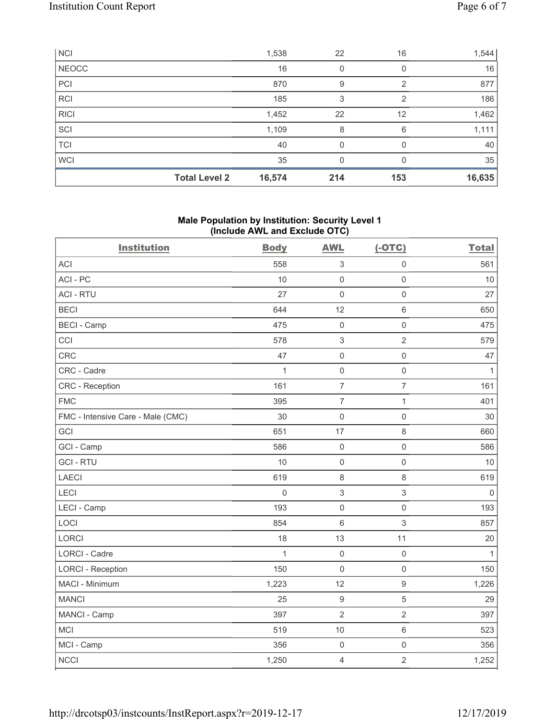| <b>NCI</b>   |                      | 1,538  | 22  | 16  | 1,544  |
|--------------|----------------------|--------|-----|-----|--------|
| <b>NEOCC</b> |                      | 16     | 0   |     | 16     |
| PCI          |                      | 870    | 9   | 2   | 877    |
| <b>RCI</b>   |                      | 185    | 3   | 2   | 186    |
| <b>RICI</b>  |                      | 1,452  | 22  | 12  | 1,462  |
| SCI          |                      | 1,109  | 8   | 6   | 1,111  |
| <b>TCI</b>   |                      | 40     | 0   | O   | 40     |
| <b>WCI</b>   |                      | 35     | 0   |     | 35     |
|              | <b>Total Level 2</b> | 16,574 | 214 | 153 | 16,635 |

# **Male Population by Institution: Security Level 1 (Include AWL and Exclude OTC)**

| <b>Institution</b>                | <b>Body</b> | <b>AWL</b>          | $(-OTC)$            | <b>Total</b> |
|-----------------------------------|-------------|---------------------|---------------------|--------------|
| <b>ACI</b>                        | 558         | 3                   | $\mathbf 0$         | 561          |
| ACI-PC                            | 10          | $\mathbf 0$         | $\mathbf 0$         | 10           |
| <b>ACI - RTU</b>                  | 27          | $\mathbf 0$         | $\mathbf 0$         | 27           |
| <b>BECI</b>                       | 644         | 12                  | 6                   | 650          |
| <b>BECI - Camp</b>                | 475         | $\mathbf 0$         | $\mathbf 0$         | 475          |
| CCI                               | 578         | $\sqrt{3}$          | $\overline{2}$      | 579          |
| CRC                               | 47          | $\mathbf 0$         | $\mathsf{O}\xspace$ | 47           |
| CRC - Cadre                       | 1           | $\mathbf 0$         | $\mathbf 0$         | $\mathbf{1}$ |
| <b>CRC</b> - Reception            | 161         | $\overline{7}$      | $\overline{7}$      | 161          |
| <b>FMC</b>                        | 395         | $\overline{7}$      | $\mathbf{1}$        | 401          |
| FMC - Intensive Care - Male (CMC) | 30          | $\mathbf 0$         | $\mathbf 0$         | 30           |
| GCI                               | 651         | 17                  | 8                   | 660          |
| GCI - Camp                        | 586         | $\mathbf 0$         | $\mathbf 0$         | 586          |
| <b>GCI-RTU</b>                    | 10          | $\mathsf{O}\xspace$ | $\mathbf 0$         | 10           |
| <b>LAECI</b>                      | 619         | $\,8\,$             | 8                   | 619          |
| <b>LECI</b>                       | $\mathbf 0$ | $\mathbf{3}$        | $\mathfrak{S}$      | $\mathbf 0$  |
| LECI - Camp                       | 193         | $\mathbf 0$         | $\mathbf 0$         | 193          |
| LOCI                              | 854         | $6\phantom{1}$      | 3                   | 857          |
| <b>LORCI</b>                      | 18          | 13                  | 11                  | 20           |
| <b>LORCI - Cadre</b>              | 1           | $\mathbf 0$         | $\mathsf{O}\xspace$ | $\mathbf{1}$ |
| <b>LORCI - Reception</b>          | 150         | $\mathbf 0$         | $\mathbf 0$         | 150          |
| MACI - Minimum                    | 1,223       | 12                  | $\boldsymbol{9}$    | 1,226        |
| <b>MANCI</b>                      | 25          | $\boldsymbol{9}$    | 5                   | 29           |
| MANCI - Camp                      | 397         | $\overline{2}$      | $\overline{2}$      | 397          |
| <b>MCI</b>                        | 519         | 10                  | 6                   | 523          |
| MCI - Camp                        | 356         | $\boldsymbol{0}$    | $\mathsf{O}\xspace$ | 356          |
| <b>NCCI</b>                       | 1,250       | $\overline{4}$      | $\overline{2}$      | 1,252        |